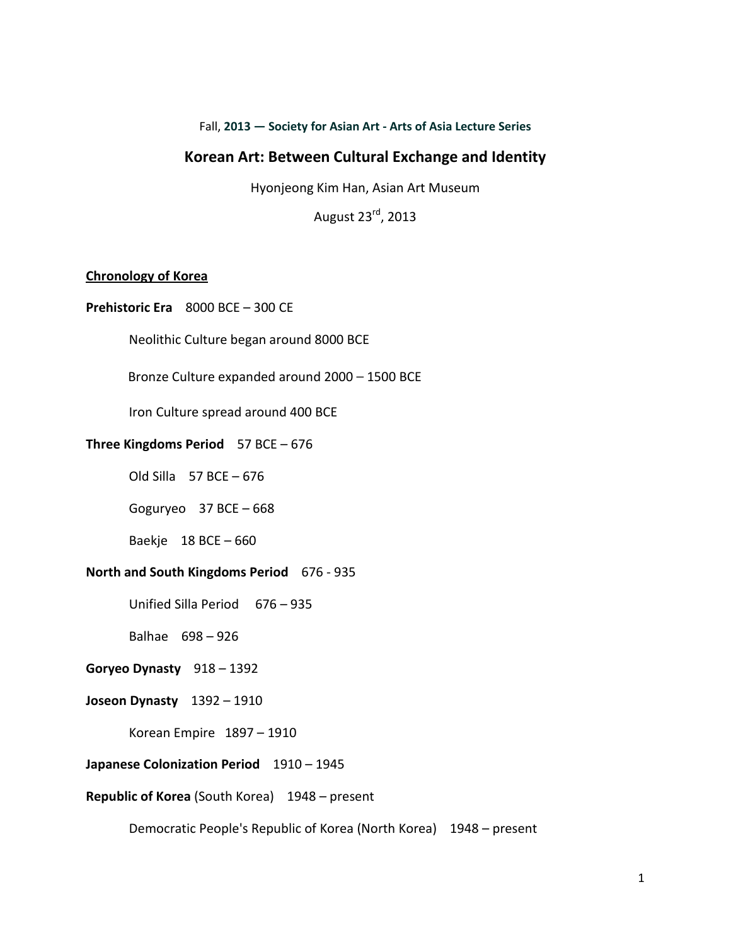Fall, **2013 — Society for Asian Art - Arts of Asia Lecture Series**

## **Korean Art: Between Cultural Exchange and Identity**

Hyonjeong Kim Han, Asian Art Museum

August 23rd, 2013

## **Chronology of Korea**

**Prehistoric Era** 8000 BCE – 300 CE

Neolithic Culture began around 8000 BCE

Bronze Culture expanded around 2000 – 1500 BCE

Iron Culture spread around 400 BCE

#### **Three Kingdoms Period** 57 BCE – 676

Old Silla  $57$  BCE  $-676$ 

Goguryeo 37 BCE – 668

Baekje 18 BCE – 660

## **North and South Kingdoms Period** 676 - 935

Unified Silla Period676 – 935

Balhae 698 – 926

## **Goryeo Dynasty** 918 – 1392

#### **Joseon Dynasty** 1392 – 1910

Korean Empire 1897 – 1910

### **Japanese Colonization Period** 1910 – 1945

#### **Republic of Korea** (South Korea) 1948 – present

Democratic People's Republic of Korea (North Korea) 1948 – present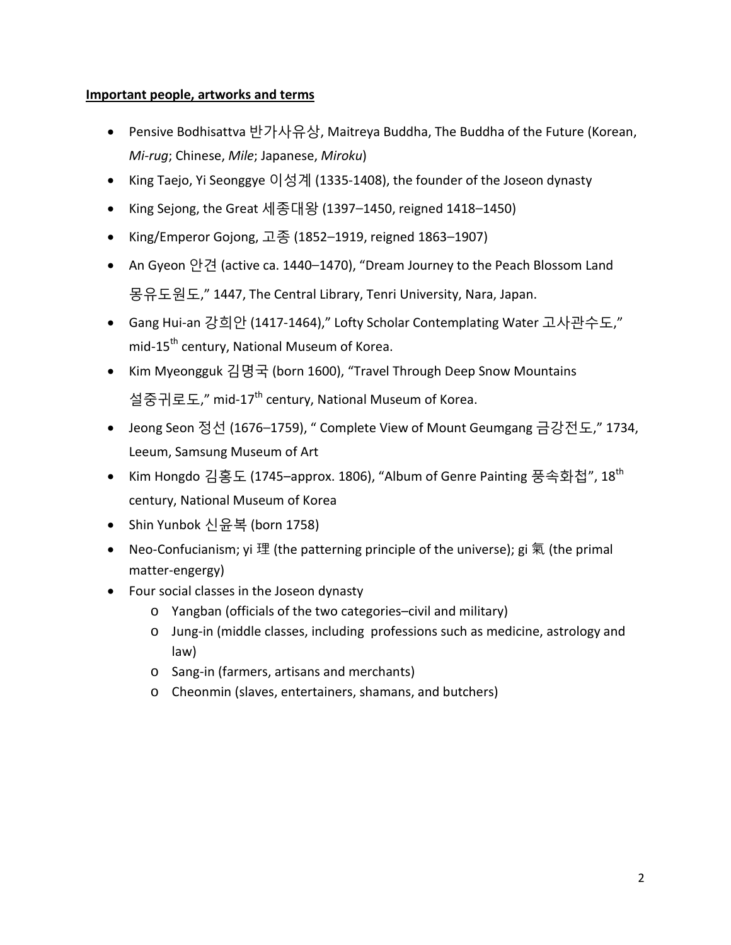# **Important people, artworks and terms**

- Pensive Bodhisattva 반가사유상, Maitreya Buddha, The Buddha of the Future (Korean, *Mi-rug*; Chinese, *Mile*; Japanese, *Miroku*)
- King Taejo, Yi Seonggye 이성계 (1335-1408), the founder of the Joseon dynasty
- King Sejong, the Great 세종대왕 (1397–1450, reigned 1418–1450)
- King/Emperor Gojong, 고종 (1852–1919, reigned 1863–1907)
- An Gyeon 안견 (active ca. 1440–1470), "Dream Journey to the Peach Blossom Land 몽유도원도," 1447, The Central Library, Tenri University, Nara, Japan.
- Gang Hui-an 강희안 (1417-1464)," Lofty Scholar Contemplating Water 고사관수도," mid-15<sup>th</sup> century, National Museum of Korea.
- Kim Myeongguk 김명국 (born 1600), "Travel Through Deep Snow Mountains 설중귀로도," mid-17<sup>th</sup> century, National Museum of Korea.
- Jeong Seon 정선 (1676–1759), " Complete View of Mount Geumgang 금강전도," 1734, Leeum, Samsung Museum of Art
- Kim Hongdo 김홍도 (1745–approx. 1806), "Album of Genre Painting 풍속화첩", 18<sup>th</sup> century, National Museum of Korea
- Shin Yunbok 신윤복 (born 1758)
- Neo-Confucianism; yi 理 (the patterning principle of the universe); gi 氣 (the primal matter-engergy)
- Four social classes in the Joseon dynasty
	- o Yangban (officials of the two categories–civil and military)
	- o Jung-in (middle classes, including professions such as medicine, astrology and law)
	- o Sang-in (farmers, artisans and merchants)
	- o Cheonmin (slaves, entertainers, shamans, and butchers)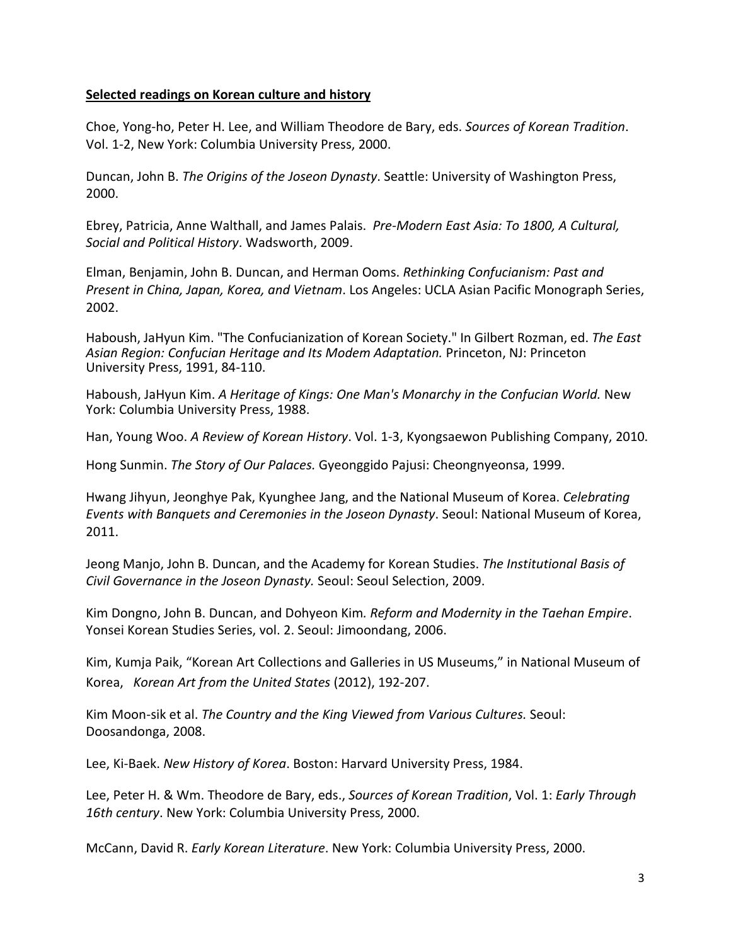## **Selected readings on Korean culture and history**

Choe, Yong-ho, Peter H. Lee, and William Theodore de Bary, eds. *Sources of Korean Tradition*. Vol. 1-2, New York: Columbia University Press, 2000.

Duncan, John B. *The Origins of the Joseon Dynasty*. Seattle: University of Washington Press, 2000.

Ebrey, Patricia, Anne Walthall, and James Palais. *Pre-Modern East Asia: To 1800, A Cultural, Social and Political History*. Wadsworth, 2009.

Elman, Benjamin, John B. Duncan, and Herman Ooms. *Rethinking Confucianism: Past and Present in China, Japan, Korea, and Vietnam*. Los Angeles: UCLA Asian Pacific Monograph Series, 2002.

Haboush, JaHyun Kim. "The Confucianization of Korean Society." In Gilbert Rozman, ed. *The East Asian Region: Confucian Heritage and Its Modem Adaptation.* Princeton, NJ: Princeton University Press, 1991, 84-110.

Haboush, JaHyun Kim. *A Heritage of Kings: One Man's Monarchy in the Confucian World.* New York: Columbia University Press, 1988.

Han, Young Woo. *A Review of Korean History*. Vol. 1-3, Kyongsaewon Publishing Company, 2010.

Hong Sunmin. *The Story of Our Palaces.* Gyeonggido Pajusi: Cheongnyeonsa, 1999.

Hwang Jihyun, Jeonghye Pak, Kyunghee Jang, and the National Museum of Korea. *Celebrating Events with Banquets and Ceremonies in the Joseon Dynasty*. Seoul: National Museum of Korea, 2011.

Jeong Manjo, John B. Duncan, and the Academy for Korean Studies. *The Institutional Basis of Civil Governance in the Joseon Dynasty.* Seoul: Seoul Selection, 2009.

Kim Dongno, John B. Duncan, and Dohyeon Kim*. Reform and Modernity in the Taehan Empire*. Yonsei Korean Studies Series, vol. 2. Seoul: Jimoondang, 2006.

Kim, Kumja Paik, "Korean Art Collections and Galleries in US Museums," in National Museum of Korea, *Korean Art from the United States* (2012), 192-207.

Kim Moon-sik et al. *The Country and the King Viewed from Various Cultures.* Seoul: Doosandonga, 2008.

Lee, Ki-Baek. *New History of Korea*. Boston: Harvard University Press, 1984.

Lee, Peter H. & Wm. Theodore de Bary, eds., *Sources of Korean Tradition*, Vol. 1: *Early Through 16th century*. New York: Columbia University Press, 2000.

McCann, David R. *Early Korean Literature*. New York: Columbia University Press, 2000.